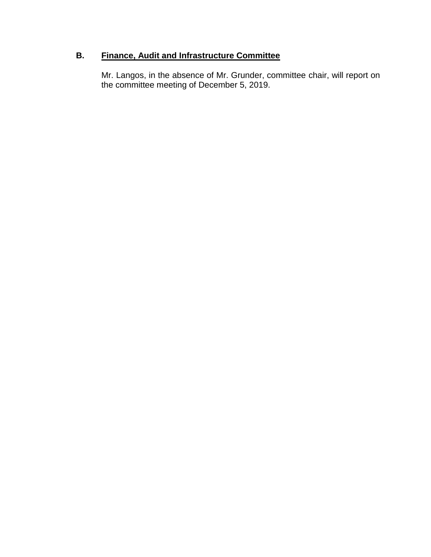# **B. Finance, Audit and Infrastructure Committee**

Mr. Langos, in the absence of Mr. Grunder, committee chair, will report on the committee meeting of December 5, 2019.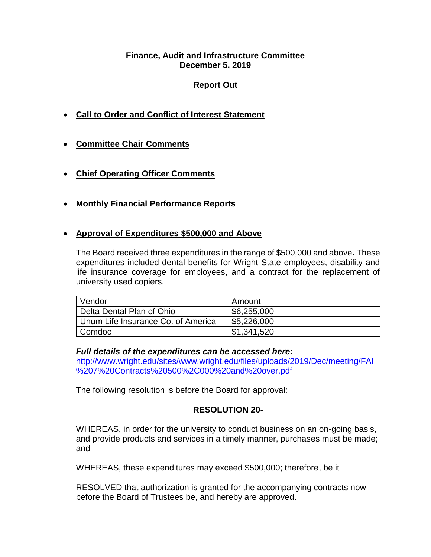### **Finance, Audit and Infrastructure Committee December 5, 2019**

# **Report Out**

- **Call to Order and Conflict of Interest Statement**
- **Committee Chair Comments**
- **Chief Operating Officer Comments**
- **Monthly Financial Performance Reports**

# • **Approval of Expenditures \$500,000 and Above**

The Board received three expenditures in the range of \$500,000 and above**.** These expenditures included dental benefits for Wright State employees, disability and life insurance coverage for employees, and a contract for the replacement of university used copiers.

| Vendor                             | Amount      |
|------------------------------------|-------------|
| Delta Dental Plan of Ohio          | \$6,255,000 |
| Unum Life Insurance Co. of America | \$5,226,000 |
| Comdoc                             | \$1,341,520 |

# *Full details of the expenditures can be accessed here:*

[http://www.wright.edu/sites/www.wright.edu/files/uploads/2019/Dec/meeting/FAI](http://www.wright.edu/sites/www.wright.edu/files/uploads/2019/Dec/meeting/FAI%207%20Contracts%20500%2C000%20and%20over.pdf) [%207%20Contracts%20500%2C000%20and%20over.pdf](http://www.wright.edu/sites/www.wright.edu/files/uploads/2019/Dec/meeting/FAI%207%20Contracts%20500%2C000%20and%20over.pdf)

The following resolution is before the Board for approval:

# **RESOLUTION 20-**

WHEREAS, in order for the university to conduct business on an on-going basis, and provide products and services in a timely manner, purchases must be made; and

WHEREAS, these expenditures may exceed \$500,000; therefore, be it

RESOLVED that authorization is granted for the accompanying contracts now before the Board of Trustees be, and hereby are approved.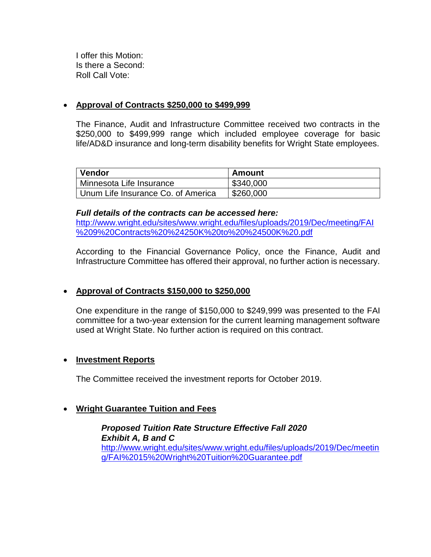I offer this Motion: Is there a Second: Roll Call Vote:

### • **Approval of Contracts \$250,000 to \$499,999**

The Finance, Audit and Infrastructure Committee received two contracts in the \$250,000 to \$499,999 range which included employee coverage for basic life/AD&D insurance and long-term disability benefits for Wright State employees.

| Vendor                             | Amount    |
|------------------------------------|-----------|
| Minnesota Life Insurance           | \$340,000 |
| Unum Life Insurance Co. of America | \$260,000 |

#### *Full details of the contracts can be accessed here:*

[http://www.wright.edu/sites/www.wright.edu/files/uploads/2019/Dec/meeting/FAI](http://www.wright.edu/sites/www.wright.edu/files/uploads/2019/Dec/meeting/FAI%209%20Contracts%20%24250K%20to%20%24500K%20.pdf) [%209%20Contracts%20%24250K%20to%20%24500K%20.pdf](http://www.wright.edu/sites/www.wright.edu/files/uploads/2019/Dec/meeting/FAI%209%20Contracts%20%24250K%20to%20%24500K%20.pdf)

According to the Financial Governance Policy, once the Finance, Audit and Infrastructure Committee has offered their approval, no further action is necessary.

# • **Approval of Contracts \$150,000 to \$250,000**

One expenditure in the range of \$150,000 to \$249,999 was presented to the FAI committee for a two-year extension for the current learning management software used at Wright State. No further action is required on this contract.

### • **Investment Reports**

The Committee received the investment reports for October 2019.

### • **Wright Guarantee Tuition and Fees**

*Proposed Tuition Rate Structure Effective Fall 2020 Exhibit A, B and C* [http://www.wright.edu/sites/www.wright.edu/files/uploads/2019/Dec/meetin](http://www.wright.edu/sites/www.wright.edu/files/uploads/2019/Dec/meeting/FAI%2015%20Wright%20Tuition%20Guarantee.pdf) [g/FAI%2015%20Wright%20Tuition%20Guarantee.pdf](http://www.wright.edu/sites/www.wright.edu/files/uploads/2019/Dec/meeting/FAI%2015%20Wright%20Tuition%20Guarantee.pdf)